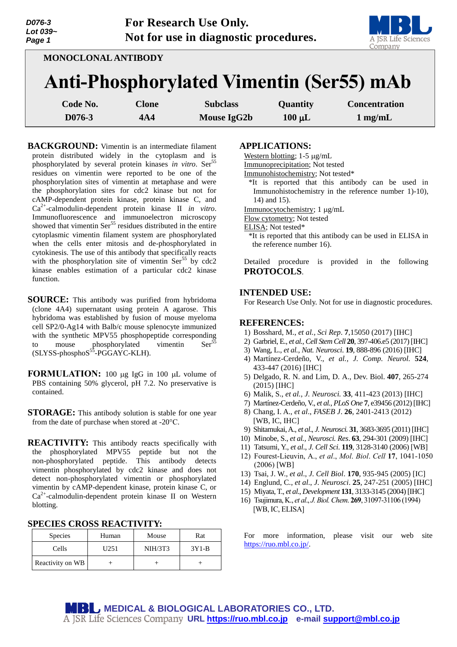| D076-3<br>Lot 039~<br>Page 1 |              | For Research Use Only.<br>Not for use in diagnostic procedures. |             |                      |
|------------------------------|--------------|-----------------------------------------------------------------|-------------|----------------------|
| <b>MONOCLONAL ANTIBODY</b>   |              |                                                                 |             | Company              |
|                              |              | <b>Anti-Phosphorylated Vimentin (Ser55) mAb</b>                 |             |                      |
| Code No.                     | <b>Clone</b> | <b>Subclass</b>                                                 | Quantity    | <b>Concentration</b> |
| D076-3                       | 4A4          | Mouse IgG2b                                                     | $100 \mu L$ | $1$ mg/mL            |

**BACKGROUND:** Vimentin is an intermediate filament protein distributed widely in the cytoplasm and is phosphorylated by several protein kinases *in vitro*. Ser<sup>55</sup> residues on vimentin were reported to be one of the phosphorylation sites of vimentin at metaphase and were the phosphorylation sites for cdc2 kinase but not for cAMP-dependent protein kinase, protein kinase C, and Ca2+ -calmodulin-dependent protein kinase II *in vitro*. Immunofluorescence and immunoelectron microscopy showed that vimentin  $\text{Ser}^{55}$  residues distributed in the entire cytoplasmic vimentin filament system are phosphorylated when the cells enter mitosis and de-phosphorylated in cytokinesis. The use of this antibody that specifically reacts with the phosphorylation site of vimentin  $\text{Ser}^{55}$  by cdc2 kinase enables estimation of a particular cdc2 kinase function.

- **SOURCE:** This antibody was purified from hybridoma (clone 4A4) supernatant using protein A agarose. This hybridoma was established by fusion of mouse myeloma cell SP2/0-Ag14 with Balb/c mouse splenocyte immunized with the synthetic MPV55 phosphopeptide corresponding to mouse phosphorylated vimentin Ser<sup>5</sup> (SLYSS-phosphoS<sup>55</sup>-PGGAYC-KLH).
- **FORMULATION:** 100 µg IgG in 100 µL volume of PBS containing 50% glycerol, pH 7.2. No preservative is contained.
- **STORAGE:** This antibody solution is stable for one year from the date of purchase when stored at -20°C.
- **REACTIVITY:** This antibody reacts specifically with the phosphorylated MPV55 peptide but not the non-phosphorylated peptide. This antibody detects vimentin phosphorylated by cdc2 kinase and does not detect non-phosphorylated vimentin or phosphorylated vimentin by cAMP-dependent kinase, protein kinase C, or Ca<sup>2+</sup>-calmodulin-dependent protein kinase II on Western blotting.

## **SPECIES CROSS REACTIVITY:**

| <b>Species</b>   | Human | Mouse          | Rat     |
|------------------|-------|----------------|---------|
| Cells            | U251  | <b>NIH/3T3</b> | $3Y1-B$ |
| Reactivity on WB |       |                |         |

### **APPLICATIONS:**

Western blotting;  $1-5 \mu g/mL$ 

Immunoprecipitation; Not tested

Immunohistochemistry; Not tested\*

- $*$ It is reported that this antibody can be used in Immunohistochemistry in the reference number 1)-10), 14) and 15).
- Immunocytochemistry; 1 µg/mL

Flow cytometry; Not tested

ELISA; Not tested\*

\*It is reported that this antibody can be used in ELISA in the reference number 16).

Detailed procedure is provided in the following **PROTOCOLS**.

#### **INTENDED USE:**

For Research Use Only. Not for use in diagnostic procedures.

#### **REFERENCES:**

- 1) Bosshard, M., *et al., Sci Rep*. **7**,15050 (2017) [IHC]
- 2) Garbriel, E., *et al., Cell Stem Cell* **20**, 397-406.e5 (2017) [IHC]
- 3) Wang, L., *et al., Nat. Neurosci*. **19**, 888-896 (2016) [IHC]
- 4) Martínez-Cerdeño, V., *et al., J. Comp. Neurol.* **524**, 433-447 (2016) [IHC]
- 5) Delgado, R. N. and Lim, D. A., Dev. Biol. **407**, 265-274 (2015) [IHC]
- 6) Malik, S., *et al.*, *J. Neurosci.* **33**, 411-423 (2013) [IHC]
- 7) Martínez-Cerdeño, V., *et al.*, *PLoS One* **7**, e39456 (2012)[IHC]
- 8) Chang, I. A., *et al*., *FASEB J*. **26**, 2401-2413 (2012) [WB, IC, IHC]
- 9) Shitamukai,A., *et al*., *J. Neurosci.* **31**, 3683-3695 (2011) [IHC]
- 10) Minobe, S., *et al., Neurosci. Res*. **63**, 294-301 (2009) [IHC]
- 11) Tatsumi, Y., *et al*., *J. Cell Sci*. **119**, 3128-3140 (2006) [WB]
- 12) Fourest-Lieuvin, A., *et al*., *Mol*. *Biol*. *Cell* **17**, 1041-1050 (2006) [WB]
- 13) Tsai, J. W., *et al*., *J. Cell Biol*. **170**, 935-945 (2005) [IC]
- 14) Englund, C., *et al*., *J. Neurosci*. **25**, 247-251 (2005) [IHC]
- 15) Miyata, T., *et al*., *Development* **131**, 3133-3145 (2004) [IHC]
- 16) Tsujimura, K., *et al*., *J. Biol. Chem*. **269**, 31097-31106 (1994) [WB, IC, ELISA]

For more information, please visit our web site [https://ruo.mbl.co.jp/.](https://ruo.mbl.co.jp/)